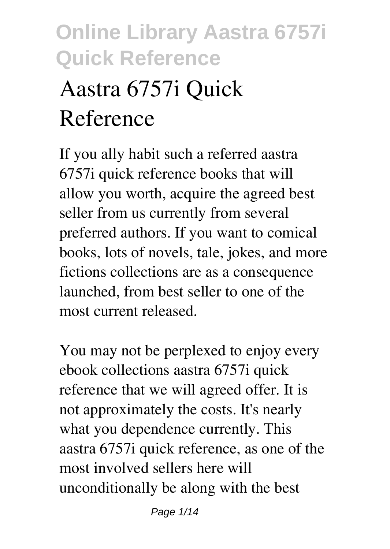# **Aastra 6757i Quick Reference**

If you ally habit such a referred **aastra 6757i quick reference** books that will allow you worth, acquire the agreed best seller from us currently from several preferred authors. If you want to comical books, lots of novels, tale, jokes, and more fictions collections are as a consequence launched, from best seller to one of the most current released.

You may not be perplexed to enjoy every ebook collections aastra 6757i quick reference that we will agreed offer. It is not approximately the costs. It's nearly what you dependence currently. This aastra 6757i quick reference, as one of the most involved sellers here will unconditionally be along with the best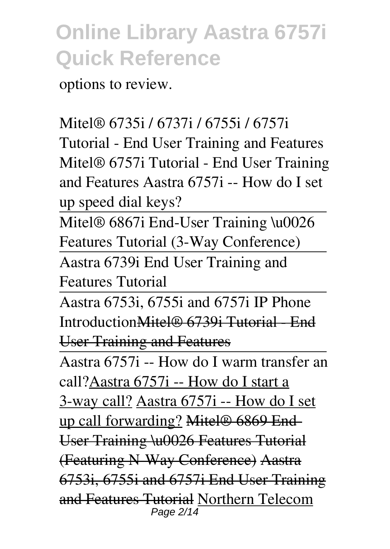options to review.

#### Mitel® 6735i / 6737i / 6755i / 6757i

Tutorial - End User Training and Features **Mitel® 6757i Tutorial - End User Training and Features Aastra 6757i -- How do I set up speed dial keys?**

Mitel® 6867i End-User Training \u0026 Features Tutorial (3-Way Conference)

Aastra 6739i End User Training and Features Tutorial

Aastra 6753i, 6755i and 6757i IP Phone IntroductionMitel® 6739i Tutorial - End User Training and Features

Aastra 6757i -- How do I warm transfer an call?Aastra 6757i -- How do I start a 3-way call? Aastra 6757i -- How do I set up call forwarding? Mitel® 6869 End-User Training \u0026 Features Tutorial (Featuring N-Way Conference) Aastra 6753i, 6755i and 6757i End User Training and Features Tutorial Northern Telecom Page 2/14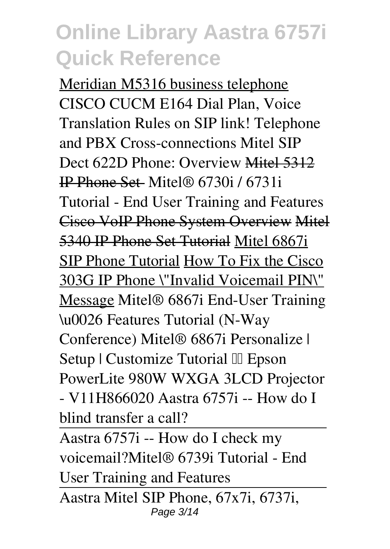Meridian M5316 business telephone *CISCO CUCM E164 Dial Plan, Voice Translation Rules on SIP link!* **Telephone and PBX Cross-connections Mitel SIP Dect 622D Phone: Overview** Mitel 5312 IP Phone Set Mitel® 6730i / 6731i Tutorial - End User Training and Features Cisco VoIP Phone System Overview Mitel 5340 IP Phone Set Tutorial Mitel 6867i SIP Phone Tutorial How To Fix the Cisco 303G IP Phone \"Invalid Voicemail PIN\" Message **Mitel® 6867i End-User Training \u0026 Features Tutorial (N-Way Conference)** *Mitel® 6867i Personalize |* **Setup | Customize Tutorial**  $\Box$  Epson PowerLite 980W WXGA 3LCD Projector - V11H866020 *Aastra 6757i -- How do I blind transfer a call?*

Aastra 6757i -- How do I check my voicemail?*Mitel® 6739i Tutorial - End User Training and Features*

Aastra Mitel SIP Phone, 67x7i, 6737i, Page 3/14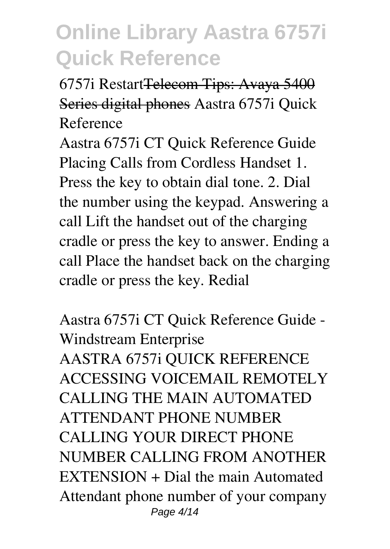6757i RestartTelecom Tips: Avaya 5400 Series digital phones **Aastra 6757i Quick Reference**

Aastra 6757i CT Quick Reference Guide Placing Calls from Cordless Handset 1. Press the key to obtain dial tone. 2. Dial the number using the keypad. Answering a call Lift the handset out of the charging cradle or press the key to answer. Ending a call Place the handset back on the charging cradle or press the key. Redial

**Aastra 6757i CT Quick Reference Guide - Windstream Enterprise** AASTRA 6757i QUICK REFERENCE ACCESSING VOICEMAIL REMOTELY CALLING THE MAIN AUTOMATED ATTENDANT PHONE NUMBER CALLING YOUR DIRECT PHONE NUMBER CALLING FROM ANOTHER EXTENSION + Dial the main Automated Attendant phone number of your company Page 4/14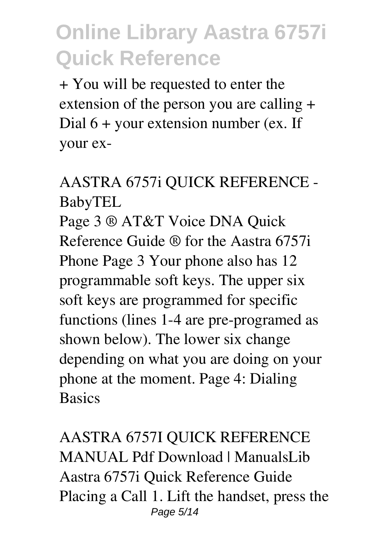+ You will be requested to enter the extension of the person you are calling + Dial 6 + your extension number (ex. If your ex-

### **AASTRA 6757i QUICK REFERENCE - BabyTEL**

Page 3 ® AT&T Voice DNA Quick Reference Guide ® for the Aastra 6757i Phone Page 3 Your phone also has 12 programmable soft keys. The upper six soft keys are programmed for specific functions (lines 1-4 are pre-programed as shown below). The lower six change depending on what you are doing on your phone at the moment. Page 4: Dialing **Basics** 

**AASTRA 6757I QUICK REFERENCE MANUAL Pdf Download | ManualsLib** Aastra 6757i Quick Reference Guide Placing a Call 1. Lift the handset, press the Page 5/14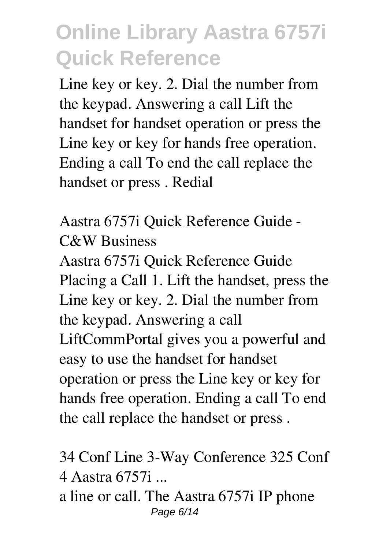Line key or key. 2. Dial the number from the keypad. Answering a call Lift the handset for handset operation or press the Line key or key for hands free operation. Ending a call To end the call replace the handset or press . Redial

**Aastra 6757i Quick Reference Guide - C&W Business**

Aastra 6757i Quick Reference Guide Placing a Call 1. Lift the handset, press the Line key or key. 2. Dial the number from the keypad. Answering a call LiftCommPortal gives you a powerful and easy to use the handset for handset operation or press the Line key or key for hands free operation. Ending a call To end the call replace the handset or press .

**34 Conf Line 3-Way Conference 325 Conf 4 Aastra 6757i ...**

a line or call. The Aastra 6757i IP phone Page 6/14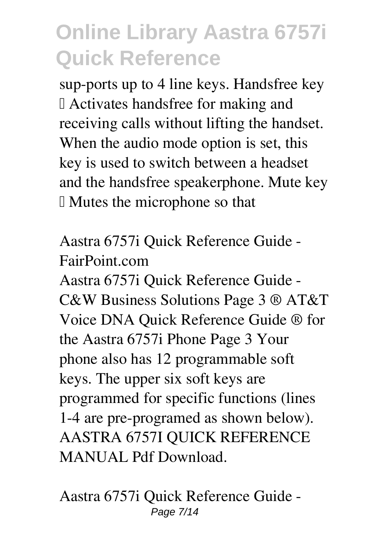sup-ports up to 4 line keys. Handsfree key – Activates handsfree for making and receiving calls without lifting the handset. When the audio mode option is set, this key is used to switch between a headset and the handsfree speakerphone. Mute key  $\mathbb I$  Mutes the microphone so that

**Aastra 6757i Quick Reference Guide - FairPoint.com**

Aastra 6757i Quick Reference Guide - C&W Business Solutions Page 3 ® AT&T Voice DNA Quick Reference Guide ® for the Aastra 6757i Phone Page 3 Your phone also has 12 programmable soft keys. The upper six soft keys are programmed for specific functions (lines 1-4 are pre-programed as shown below). AASTRA 6757I QUICK REFERENCE MANUAL Pdf Download

**Aastra 6757i Quick Reference Guide -** Page 7/14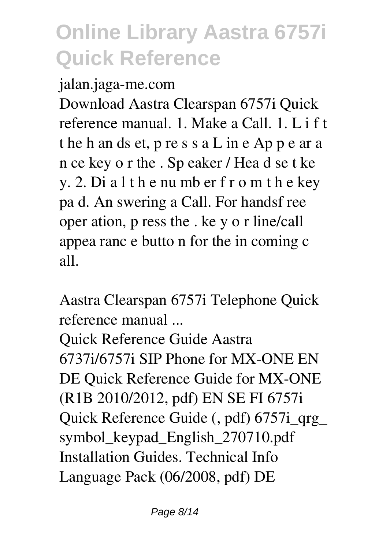#### **jalan.jaga-me.com**

Download Aastra Clearspan 6757i Quick reference manual. 1. Make a Call. 1. L i f t t he h an ds et, p re s s a L in e Ap p e ar a n ce key o r the . Sp eaker / Hea d se t ke y. 2. Di a l t h e nu mb er f r o m t h e key pa d. An swering a Call. For handsf ree oper ation, p ress the . ke y o r line/call appea ranc e butto n for the in coming c all.

**Aastra Clearspan 6757i Telephone Quick reference manual ...**

Quick Reference Guide Aastra 6737i/6757i SIP Phone for MX-ONE EN DE Quick Reference Guide for MX-ONE (R1B 2010/2012, pdf) EN SE FI 6757i Quick Reference Guide (, pdf) 6757i\_qrg\_ symbol\_keypad\_English\_270710.pdf Installation Guides. Technical Info Language Pack (06/2008, pdf) DE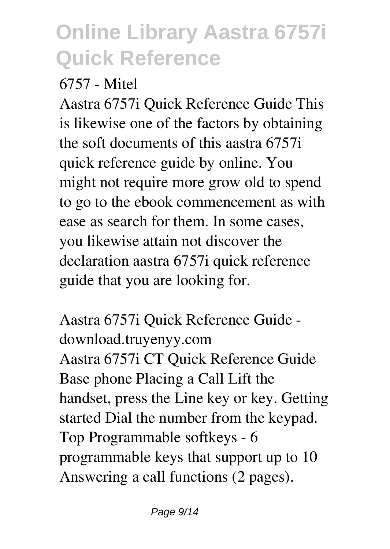#### **6757 - Mitel**

Aastra 6757i Quick Reference Guide This is likewise one of the factors by obtaining the soft documents of this aastra 6757i quick reference guide by online. You might not require more grow old to spend to go to the ebook commencement as with ease as search for them. In some cases, you likewise attain not discover the declaration aastra 6757i quick reference guide that you are looking for.

**Aastra 6757i Quick Reference Guide download.truyenyy.com** Aastra 6757i CT Quick Reference Guide Base phone Placing a Call Lift the handset, press the Line key or key. Getting started Dial the number from the keypad. Top Programmable softkeys - 6 programmable keys that support up to 10 Answering a call functions (2 pages).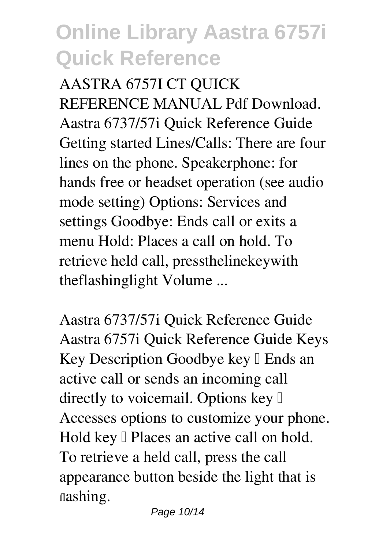**AASTRA 6757I CT QUICK REFERENCE MANUAL Pdf Download.** Aastra 6737/57i Quick Reference Guide Getting started Lines/Calls: There are four lines on the phone. Speakerphone: for hands free or headset operation (see audio mode setting) Options: Services and settings Goodbye: Ends call or exits a menu Hold: Places a call on hold. To retrieve held call, pressthelinekeywith theflashinglight Volume ...

**Aastra 6737/57i Quick Reference Guide** Aastra 6757i Quick Reference Guide Keys Key Description Goodbye key  $\mathbb I$  Ends an active call or sends an incoming call directly to voicemail. Options key  $\mathbb I$ Accesses options to customize your phone. Hold key  $\Box$  Places an active call on hold. To retrieve a held call, press the call appearance button beside the light that is flashing.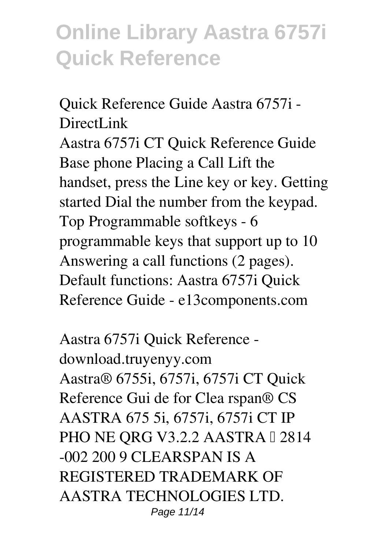**Quick Reference Guide Aastra 6757i - DirectLink** Aastra 6757i CT Quick Reference Guide Base phone Placing a Call Lift the handset, press the Line key or key. Getting started Dial the number from the keypad. Top Programmable softkeys - 6 programmable keys that support up to 10 Answering a call functions (2 pages). Default functions: Aastra 6757i Quick Reference Guide - e13components.com

**Aastra 6757i Quick Reference download.truyenyy.com** Aastra® 6755i, 6757i, 6757i CT Quick Reference Gui de for Clea rspan® CS AASTRA 675 5i, 6757i, 6757i CT IP PHO NE ORG V3.2.2 AASTRA I 2814 -002 200 9 CLEARSPAN IS A REGISTERED TRADEMARK OF AASTRA TECHNOLOGIES LTD. Page 11/14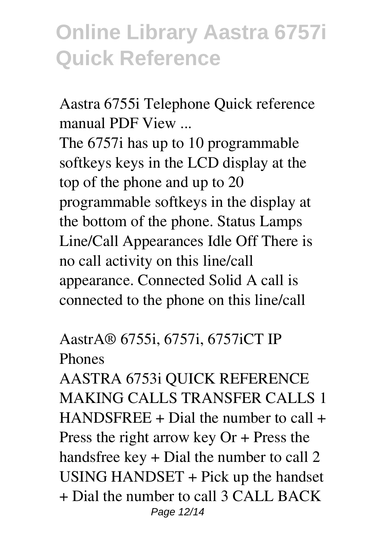**Aastra 6755i Telephone Quick reference manual PDF View ...**

The 6757i has up to 10 programmable softkeys keys in the LCD display at the top of the phone and up to 20 programmable softkeys in the display at the bottom of the phone. Status Lamps Line/Call Appearances Idle Off There is no call activity on this line/call appearance. Connected Solid A call is connected to the phone on this line/call

**AastrA® 6755i, 6757i, 6757iCT IP Phones**

AASTRA 6753i QUICK REFERENCE MAKING CALLS TRANSFER CALLS 1  $HANDSFREE + Data$  the number to call  $+$ Press the right arrow key Or + Press the handsfree key + Dial the number to call 2 USING HANDSET + Pick up the handset + Dial the number to call 3 CALL BACK Page 12/14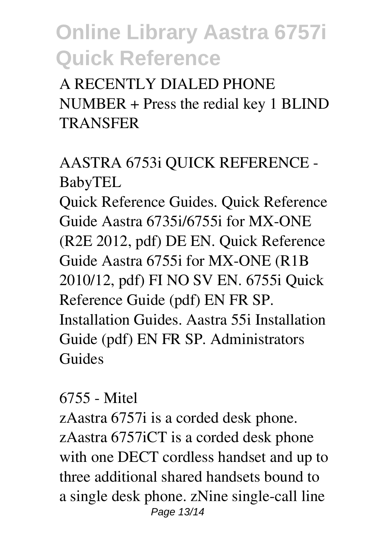A RECENTLY DIALED PHONE NUMBER + Press the redial key 1 BLIND TRANSFER

### **AASTRA 6753i QUICK REFERENCE - BabyTEL**

Quick Reference Guides. Quick Reference Guide Aastra 6735i/6755i for MX-ONE (R2E 2012, pdf) DE EN. Quick Reference Guide Aastra 6755i for MX-ONE (R1B 2010/12, pdf) FI NO SV EN. 6755i Quick Reference Guide (pdf) EN FR SP. Installation Guides. Aastra 55i Installation Guide (pdf) EN FR SP. Administrators Guides

#### **6755 - Mitel**

zAastra 6757i is a corded desk phone. zAastra 6757iCT is a corded desk phone with one DECT cordless handset and up to three additional shared handsets bound to a single desk phone. zNine single-call line Page 13/14